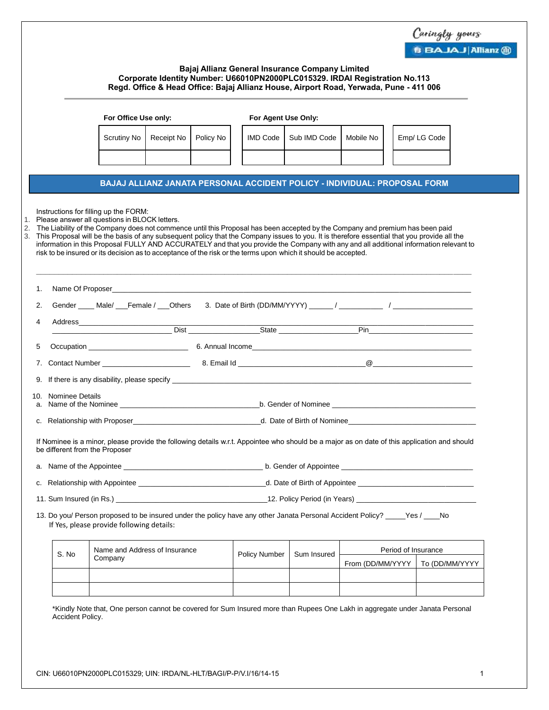|    |                                |                                                                                                                                                                                                                                                                                                                                                                                                                                                                             |            |           |  |                      |                                                                                                                |                                                                                                                                                |  | Caringly yours                                                                                                                               |  |  |
|----|--------------------------------|-----------------------------------------------------------------------------------------------------------------------------------------------------------------------------------------------------------------------------------------------------------------------------------------------------------------------------------------------------------------------------------------------------------------------------------------------------------------------------|------------|-----------|--|----------------------|----------------------------------------------------------------------------------------------------------------|------------------------------------------------------------------------------------------------------------------------------------------------|--|----------------------------------------------------------------------------------------------------------------------------------------------|--|--|
|    |                                |                                                                                                                                                                                                                                                                                                                                                                                                                                                                             |            |           |  |                      |                                                                                                                |                                                                                                                                                |  | <b>B BAJAJ Allianz ®</b>                                                                                                                     |  |  |
|    |                                | Bajaj Allianz General Insurance Company Limited<br>Corporate Identity Number: U66010PN2000PLC015329. IRDAI Registration No.113<br>Regd. Office & Head Office: Bajaj Allianz House, Airport Road, Yerwada, Pune - 411 006                                                                                                                                                                                                                                                    |            |           |  |                      |                                                                                                                |                                                                                                                                                |  |                                                                                                                                              |  |  |
|    |                                | For Office Use only:                                                                                                                                                                                                                                                                                                                                                                                                                                                        |            |           |  | For Agent Use Only:  |                                                                                                                |                                                                                                                                                |  |                                                                                                                                              |  |  |
|    |                                | Scrutiny No                                                                                                                                                                                                                                                                                                                                                                                                                                                                 | Receipt No | Policy No |  | IMD Code             | Sub IMD Code                                                                                                   | Mobile No                                                                                                                                      |  | Emp/LG Code                                                                                                                                  |  |  |
|    |                                |                                                                                                                                                                                                                                                                                                                                                                                                                                                                             |            |           |  |                      |                                                                                                                |                                                                                                                                                |  |                                                                                                                                              |  |  |
|    |                                |                                                                                                                                                                                                                                                                                                                                                                                                                                                                             |            |           |  |                      |                                                                                                                | BAJAJ ALLIANZ JANATA PERSONAL ACCIDENT POLICY - INDIVIDUAL: PROPOSAL FORM                                                                      |  |                                                                                                                                              |  |  |
|    |                                |                                                                                                                                                                                                                                                                                                                                                                                                                                                                             |            |           |  |                      | risk to be insured or its decision as to acceptance of the risk or the terms upon which it should be accepted. | 3. This Proposal will be the basis of any subsequent policy that the Company issues to you. It is therefore essential that you provide all the |  | information in this Proposal FULLY AND ACCURATELY and that you provide the Company with any and all additional information relevant to       |  |  |
| 1. |                                |                                                                                                                                                                                                                                                                                                                                                                                                                                                                             |            |           |  |                      |                                                                                                                |                                                                                                                                                |  |                                                                                                                                              |  |  |
| 2. |                                |                                                                                                                                                                                                                                                                                                                                                                                                                                                                             |            |           |  |                      |                                                                                                                |                                                                                                                                                |  |                                                                                                                                              |  |  |
| 4  |                                |                                                                                                                                                                                                                                                                                                                                                                                                                                                                             |            |           |  |                      |                                                                                                                |                                                                                                                                                |  |                                                                                                                                              |  |  |
| 5  |                                |                                                                                                                                                                                                                                                                                                                                                                                                                                                                             |            |           |  |                      |                                                                                                                |                                                                                                                                                |  |                                                                                                                                              |  |  |
| 7. |                                |                                                                                                                                                                                                                                                                                                                                                                                                                                                                             |            |           |  |                      |                                                                                                                |                                                                                                                                                |  |                                                                                                                                              |  |  |
|    |                                |                                                                                                                                                                                                                                                                                                                                                                                                                                                                             |            |           |  |                      |                                                                                                                |                                                                                                                                                |  |                                                                                                                                              |  |  |
|    | 10. Nominee Details            |                                                                                                                                                                                                                                                                                                                                                                                                                                                                             |            |           |  |                      |                                                                                                                |                                                                                                                                                |  |                                                                                                                                              |  |  |
|    |                                | a. Name of the Nominee <b>contract the set of the Nominee</b> contract the set of the set of the set of the set of the set of the set of the set of the set of the set of the set of the set of the set of the set of the set of th<br>b. Gender of Nominee <u>example and the set of the set of the set of the set of the set of the set of the set of the set of the set of the set of the set of the set of the set of the set of the set of the set of the set of t</u> |            |           |  |                      |                                                                                                                |                                                                                                                                                |  |                                                                                                                                              |  |  |
|    | c. Relationship with Proposer  |                                                                                                                                                                                                                                                                                                                                                                                                                                                                             |            |           |  |                      | d. Date of Birth of Nominee                                                                                    |                                                                                                                                                |  |                                                                                                                                              |  |  |
|    | be different from the Proposer |                                                                                                                                                                                                                                                                                                                                                                                                                                                                             |            |           |  |                      |                                                                                                                |                                                                                                                                                |  | If Nominee is a minor, please provide the following details w.r.t. Appointee who should be a major as on date of this application and should |  |  |
|    |                                |                                                                                                                                                                                                                                                                                                                                                                                                                                                                             |            |           |  |                      |                                                                                                                |                                                                                                                                                |  |                                                                                                                                              |  |  |
|    |                                |                                                                                                                                                                                                                                                                                                                                                                                                                                                                             |            |           |  |                      |                                                                                                                |                                                                                                                                                |  |                                                                                                                                              |  |  |
|    |                                |                                                                                                                                                                                                                                                                                                                                                                                                                                                                             |            |           |  |                      |                                                                                                                |                                                                                                                                                |  |                                                                                                                                              |  |  |
|    |                                |                                                                                                                                                                                                                                                                                                                                                                                                                                                                             |            |           |  |                      |                                                                                                                |                                                                                                                                                |  |                                                                                                                                              |  |  |
|    |                                | If Yes, please provide following details:                                                                                                                                                                                                                                                                                                                                                                                                                                   |            |           |  |                      |                                                                                                                | 13. Do you/ Person proposed to be insured under the policy have any other Janata Personal Accident Policy? ____Yes / ___No                     |  |                                                                                                                                              |  |  |
|    |                                | Name and Address of Insurance                                                                                                                                                                                                                                                                                                                                                                                                                                               |            |           |  |                      |                                                                                                                |                                                                                                                                                |  | Period of Insurance                                                                                                                          |  |  |
|    | S. No                          | Company                                                                                                                                                                                                                                                                                                                                                                                                                                                                     |            |           |  | <b>Policy Number</b> | Sum Insured                                                                                                    | From (DD/MM/YYYY                                                                                                                               |  | To (DD/MM/YYYY                                                                                                                               |  |  |
|    |                                |                                                                                                                                                                                                                                                                                                                                                                                                                                                                             |            |           |  |                      |                                                                                                                |                                                                                                                                                |  |                                                                                                                                              |  |  |